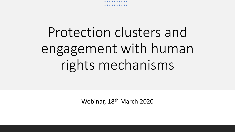# Protection clusters and engagement with human rights mechanisms

Webinar, 18th March 2020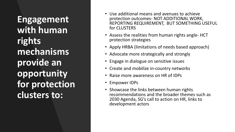**Engagement with human rights mechanisms provide an opportunity for protection clusters to:**

- Use additional means and avenues to achieve protection outcomes- NOT ADDITIONAL WORK, REPORTING REQUIREMENT, BUT SOMETHING USEFUL for CLUSTERS
- Assess the realities from human rights angle- HCT protection strategies
- Apply HRBA (limitations of needs based approach)
- Advocate more strategically and strongly
- Engage in dialogue on sensitive issues
- Create and mobilize in-country networks
- Raise more awareness on HR of IDPs
- Empower IDPs
- Showcase the links between human rights recommendations and the broader themes such as 2030 Agenda, SG's call to action on HR, links to development actors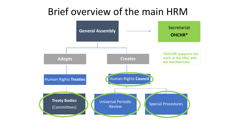#### Brief overview of the main HRM

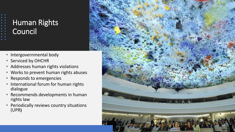# Human Rights **Council**

- Intergovernmental body
- Serviced by OHCHR
- Addresses human rights violations
- Works to prevent human rights abuses
- Responds to emergencies
- International forum for human rights dialogue
- Recommends developments in human rights law
- Periodically reviews country situations (UPR**)**

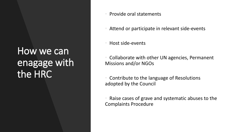## How we can enagage with the HRC

- Provide oral statements
- Attend or participate in relevant side-events
- Host side-events

• Collaborate with other UN agencies, Permanent Missions and/or NGOs

• Contribute to the language of Resolutions adopted by the Council

Raise cases of grave and systematic abuses to the Complaints Procedure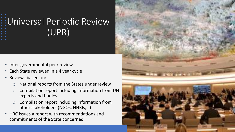# Universal Periodic Review (UPR)

- Inter-governmental peer review
- Each State reviewed in a 4 year cycle
- Reviews based on:
	- $\circ$  National reports from the States under review
	- o Compilation report including information from UN experts and bodies
	- o Compilation report including information from other stakeholders (NGOs, NHRIs,…)
- HRC issues a report with recommendations and commitments of the State concerned

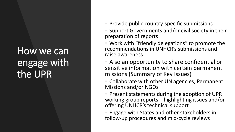## How we can engage with the UPR

• Provide public country-specific submissions

Support Governments and/or civil society in their preparation of reports

Work with "friendly delegations" to promote the recommendations in UNHCR's submissions and raise awareness

• Also an opportunity to share confidential or sensitive information with certain permanent missions (Summary of Key Issues)

• Collaborate with other UN agencies, Permanent Missions and/or NGOs

• Present statements during the adoption of UPR working group reports – highlighting issues and/or offering UNHCR's technical support

• Engage with States and other stakeholders in follow-up procedures and mid-cycle reviews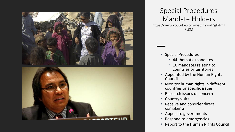

#### Special Procedures Mandate Holders

https://www.youtube.com/watch?v=d7gD4mT Rt8M

- Special Procedures
	- 44 thematic mandates
	- 10 mandates relating to countries or territories
- Appointed by the Human Rights Council
- Monitor human rights in different countries or specific issues
- Research issues of concern
- Country visits
- Receive and consider direct complaints
- Appeal to governments
- Respond to emergencies
- Report to the Human Rights Council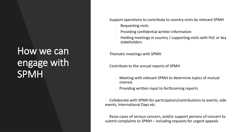## How we can engage with SPMH

- Support operations to contribute to country visits by relevant SPMH
	- Requesting visits
	- Providing confidential written information
	- Holding meetings in country / supporting visits with PoC or key stakeholders
- Thematic meetings with SPMH
- Contribute to the annual reports of SPMH
	- Meeting with relevant SPMH to determine topics of mutual interest
	- Providing written input to forthcoming reports

• Collaborate with SPMH for participation/contributions to events, side events, International Days etc.

Raise cases of serious concern, and/or support persons of concern to submit complaints to SPMH – including requests for urgent appeals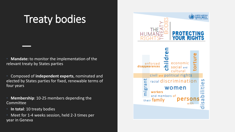# Treaty bodies

• **Mandate:** to monitor the implementation of the relevant treaty by States parties

• Composed of **independent experts**, nominated and elected by States parties for fixed, renewable terms of four years

- **Membership**: 10-25 members depending the **Committee**
- **In total**: 10 treaty bodies
- Meet for 1-4 weeks session, held 2-3 times per year in Geneva

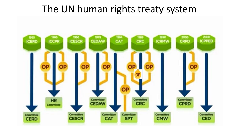#### The UN human rights treaty system

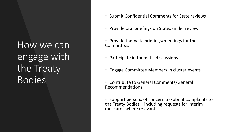How we can engage with the Treaty Bodies

- Submit Confidential Comments for State reviews
- Provide oral briefings on States under review
- Provide thematic briefings/meetings for the **Committees** 
	- Participate in thematic discussions
- Engage Committee Members in cluster events
- Contribute to General Comments/General Recommendations

• Support persons of concern to submit complaints to the Treaty Bodies – including requests for interim measures where relevant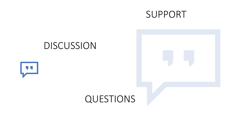#### SUPPORT

#### DISCUSSION

![](_page_12_Picture_2.jpeg)

![](_page_12_Picture_3.jpeg)

#### QUESTIONS